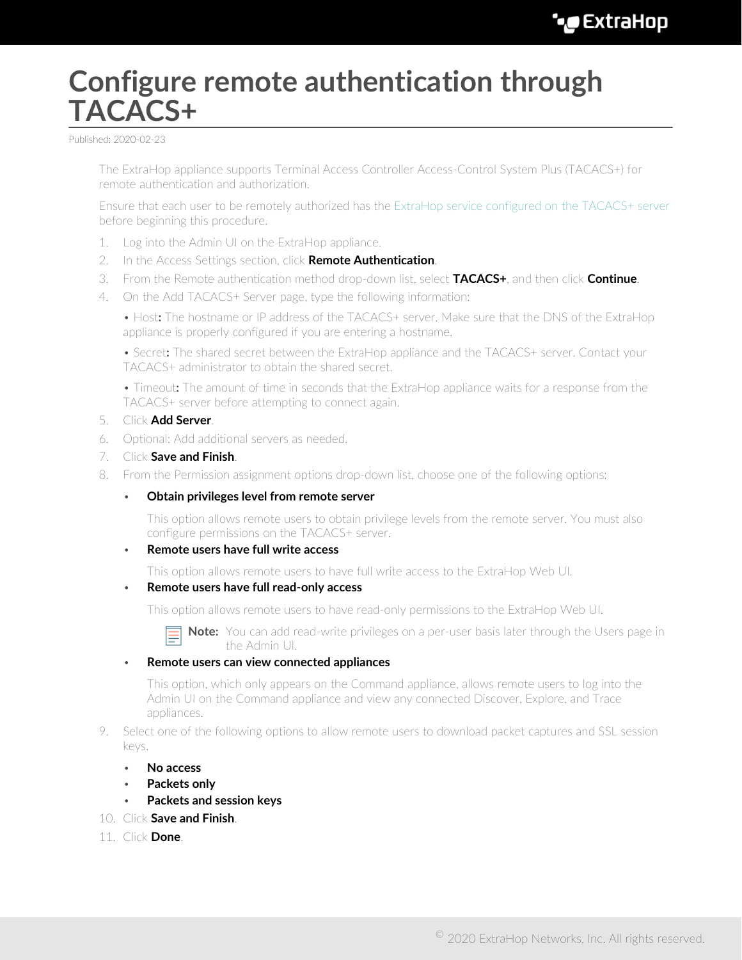## **Configure remote authentication through TACACS+**

Published: 2020-02-23

The ExtraHop appliance supports Terminal Access Controller Access-Control System Plus (TACACS+) for remote authentication and authorization.

Ensure that each user to be remotely authorized has the [ExtraHop service configured on the TACACS+ server](#page-1-0) before beginning this procedure.

- 1. Log into the Admin UI on the ExtraHop appliance.
- 2. In the Access Settings section, click **Remote Authentication**.
- 3. From the Remote authentication method drop-down list, select **TACACS+**, and then click **Continue**.
- 4. On the Add TACACS+ Server page, type the following information:

• Host**:** The hostname or IP address of the TACACS+ server. Make sure that the DNS of the ExtraHop appliance is properly configured if you are entering a hostname.

• Secret**:** The shared secret between the ExtraHop appliance and the TACACS+ server. Contact your TACACS+ administrator to obtain the shared secret.

• Timeout**:** The amount of time in seconds that the ExtraHop appliance waits for a response from the TACACS+ server before attempting to connect again.

- 5. Click **Add Server**.
- 6. Optional: Add additional servers as needed.
- 7. Click **Save and Finish**.
- 8. From the Permission assignment options drop-down list, choose one of the following options:
	- **Obtain privileges level from remote server**

This option allows remote users to obtain privilege levels from the remote server. You must also configure permissions on the TACACS+ server.

## • **Remote users have full write access**

This option allows remote users to have full write access to the ExtraHop Web UI.

• **Remote users have full read-only access**

This option allows remote users to have read-only permissions to the ExtraHop Web UI.

**Note:** You can add read-write privileges on a per-user basis later through the Users page in the Admin UI.

## • **Remote users can view connected appliances**

This option, which only appears on the Command appliance, allows remote users to log into the Admin UI on the Command appliance and view any connected Discover, Explore, and Trace appliances.

- 9. Select one of the following options to allow remote users to download packet captures and SSL session keys.
	- **No access**
	- **Packets only**
	- **Packets and session keys**
- 10. Click **Save and Finish**.
- 11. Click **Done**.